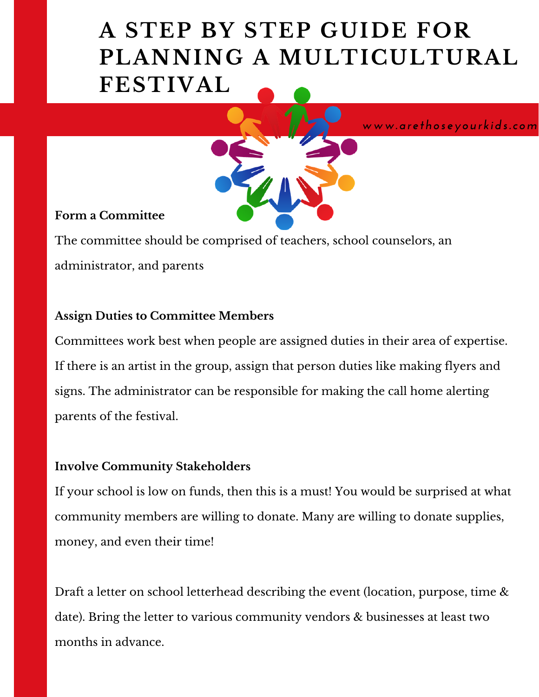## **A STEP BY STEP GUIDE FOR PLANNING A MULTICULTURAL FESTIVAL**



#### **Form a Committee**

The committee should be comprised of teachers, school counselors, an administrator, and parents

### **Assign Duties to Committee Members**

Committees work best when people are assigned duties in their area of expertise. If there is an artist in the group, assign that person duties like making flyers and signs. The administrator can be responsible for making the call home alerting parents of the festival.

### **Involve Community Stakeholders**

If your school is low on funds, then this is a must! You would be surprised at what community members are willing to donate. Many are willing to donate supplies, money, and even their time!

Draft a letter on school letterhead describing the event (location, purpose, time & date). Bring the letter to various community vendors & businesses at least two months in advance.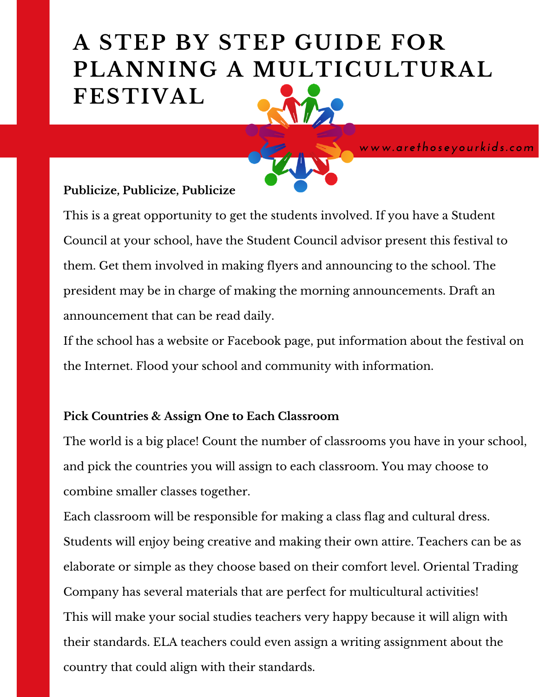# **A STEP BY STEP GUIDE FOR PLANNING A MULTICULTURAL FESTIVAL**

*www.arethoseyourkids.com*

#### **Publicize, Publicize, Publicize**

This is a great opportunity to get the students involved. If you have a Student Council at your school, have the Student Council advisor present this festival to them. Get them involved in making flyers and announcing to the school. The president may be in charge of making the morning announcements. Draft an announcement that can be read daily.

If the school has a website or Facebook page, put information about the festival on the Internet. Flood your school and community with information.

#### **Pick Countries & Assign One to Each Classroom**

The world is a big place! Count the number of classrooms you have in your school, and pick the countries you will assign to each classroom. You may choose to combine smaller classes together.

Each classroom will be responsible for making a class flag and cultural dress. Students will enjoy being creative and making their own attire. Teachers can be as elaborate or simple as they choose based on their comfort level. Oriental Trading Company has several materials that are perfect for multicultural activities! This will make your social studies teachers very happy because it will align with their standards. ELA teachers could even assign a writing assignment about the country that could align with their standards.